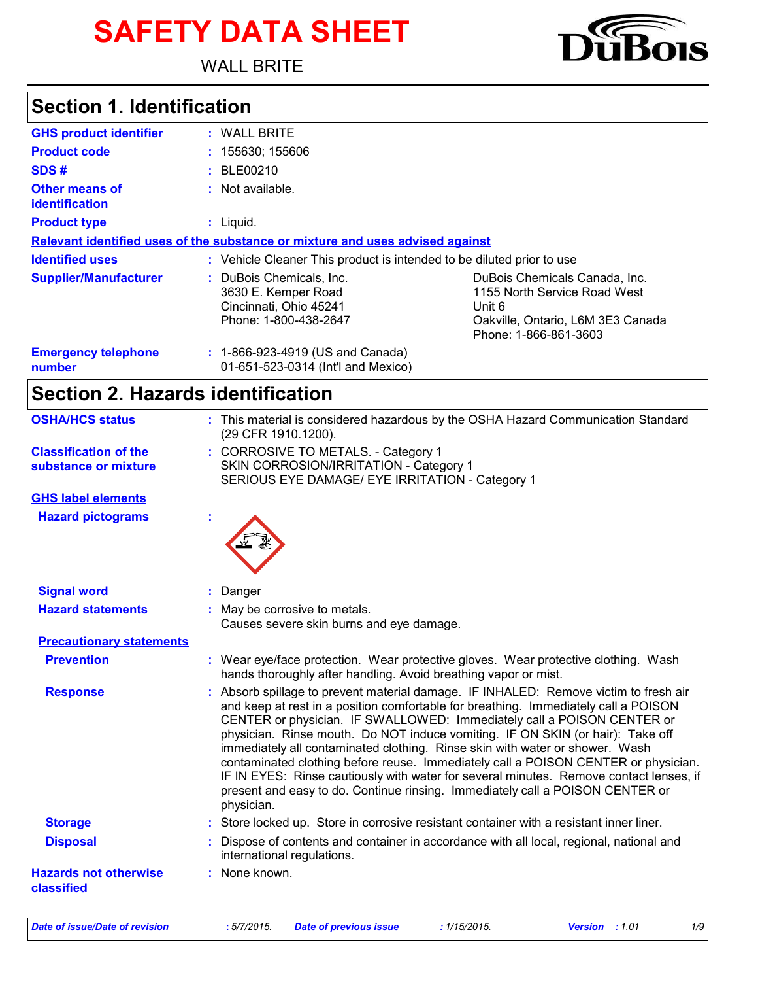# **SAFETY DATA SHEET**

WALL BRITE

# **Section 1. Identification**

| <b>GHS product identifier</b>           | : WALL BRITE                                                                                       |                                                                                                                                       |
|-----------------------------------------|----------------------------------------------------------------------------------------------------|---------------------------------------------------------------------------------------------------------------------------------------|
| <b>Product code</b>                     | : 155630; 155606                                                                                   |                                                                                                                                       |
| SDS#                                    | : BLE00210                                                                                         |                                                                                                                                       |
| <b>Other means of</b><br>identification | : Not available.                                                                                   |                                                                                                                                       |
| <b>Product type</b>                     | $:$ Liquid.                                                                                        |                                                                                                                                       |
|                                         | Relevant identified uses of the substance or mixture and uses advised against                      |                                                                                                                                       |
| <b>Identified uses</b>                  | : Vehicle Cleaner This product is intended to be diluted prior to use                              |                                                                                                                                       |
| <b>Supplier/Manufacturer</b>            | : DuBois Chemicals, Inc.<br>3630 E. Kemper Road<br>Cincinnati, Ohio 45241<br>Phone: 1-800-438-2647 | DuBois Chemicals Canada, Inc.<br>1155 North Service Road West<br>Unit 6<br>Oakville, Ontario, L6M 3E3 Canada<br>Phone: 1-866-861-3603 |
| <b>Emergency telephone</b><br>number    | : 1-866-923-4919 (US and Canada)<br>01-651-523-0314 (Int'l and Mexico)                             |                                                                                                                                       |

# **Section 2. Hazards identification**

| <b>OSHA/HCS status</b>                               | : This material is considered hazardous by the OSHA Hazard Communication Standard<br>(29 CFR 1910.1200).                                                                                                                                                                                                                                                                                                                                                                                                                                                                                                                                                                                               |
|------------------------------------------------------|--------------------------------------------------------------------------------------------------------------------------------------------------------------------------------------------------------------------------------------------------------------------------------------------------------------------------------------------------------------------------------------------------------------------------------------------------------------------------------------------------------------------------------------------------------------------------------------------------------------------------------------------------------------------------------------------------------|
| <b>Classification of the</b><br>substance or mixture | : CORROSIVE TO METALS. - Category 1<br>SKIN CORROSION/IRRITATION - Category 1                                                                                                                                                                                                                                                                                                                                                                                                                                                                                                                                                                                                                          |
|                                                      | SERIOUS EYE DAMAGE/ EYE IRRITATION - Category 1                                                                                                                                                                                                                                                                                                                                                                                                                                                                                                                                                                                                                                                        |
| <b>GHS label elements</b>                            |                                                                                                                                                                                                                                                                                                                                                                                                                                                                                                                                                                                                                                                                                                        |
| <b>Hazard pictograms</b>                             |                                                                                                                                                                                                                                                                                                                                                                                                                                                                                                                                                                                                                                                                                                        |
| <b>Signal word</b>                                   | : Danger                                                                                                                                                                                                                                                                                                                                                                                                                                                                                                                                                                                                                                                                                               |
| <b>Hazard statements</b>                             | : May be corrosive to metals.<br>Causes severe skin burns and eye damage.                                                                                                                                                                                                                                                                                                                                                                                                                                                                                                                                                                                                                              |
| <b>Precautionary statements</b>                      |                                                                                                                                                                                                                                                                                                                                                                                                                                                                                                                                                                                                                                                                                                        |
| <b>Prevention</b>                                    | : Wear eye/face protection. Wear protective gloves. Wear protective clothing. Wash<br>hands thoroughly after handling. Avoid breathing vapor or mist.                                                                                                                                                                                                                                                                                                                                                                                                                                                                                                                                                  |
| <b>Response</b>                                      | : Absorb spillage to prevent material damage. IF INHALED: Remove victim to fresh air<br>and keep at rest in a position comfortable for breathing. Immediately call a POISON<br>CENTER or physician. IF SWALLOWED: Immediately call a POISON CENTER or<br>physician. Rinse mouth. Do NOT induce vomiting. IF ON SKIN (or hair): Take off<br>immediately all contaminated clothing. Rinse skin with water or shower. Wash<br>contaminated clothing before reuse. Immediately call a POISON CENTER or physician.<br>IF IN EYES: Rinse cautiously with water for several minutes. Remove contact lenses, if<br>present and easy to do. Continue rinsing. Immediately call a POISON CENTER or<br>physician. |
| <b>Storage</b>                                       | : Store locked up. Store in corrosive resistant container with a resistant inner liner.                                                                                                                                                                                                                                                                                                                                                                                                                                                                                                                                                                                                                |
| <b>Disposal</b>                                      | : Dispose of contents and container in accordance with all local, regional, national and<br>international regulations.                                                                                                                                                                                                                                                                                                                                                                                                                                                                                                                                                                                 |
| <b>Hazards not otherwise</b><br>classified           | : None known.                                                                                                                                                                                                                                                                                                                                                                                                                                                                                                                                                                                                                                                                                          |
|                                                      |                                                                                                                                                                                                                                                                                                                                                                                                                                                                                                                                                                                                                                                                                                        |

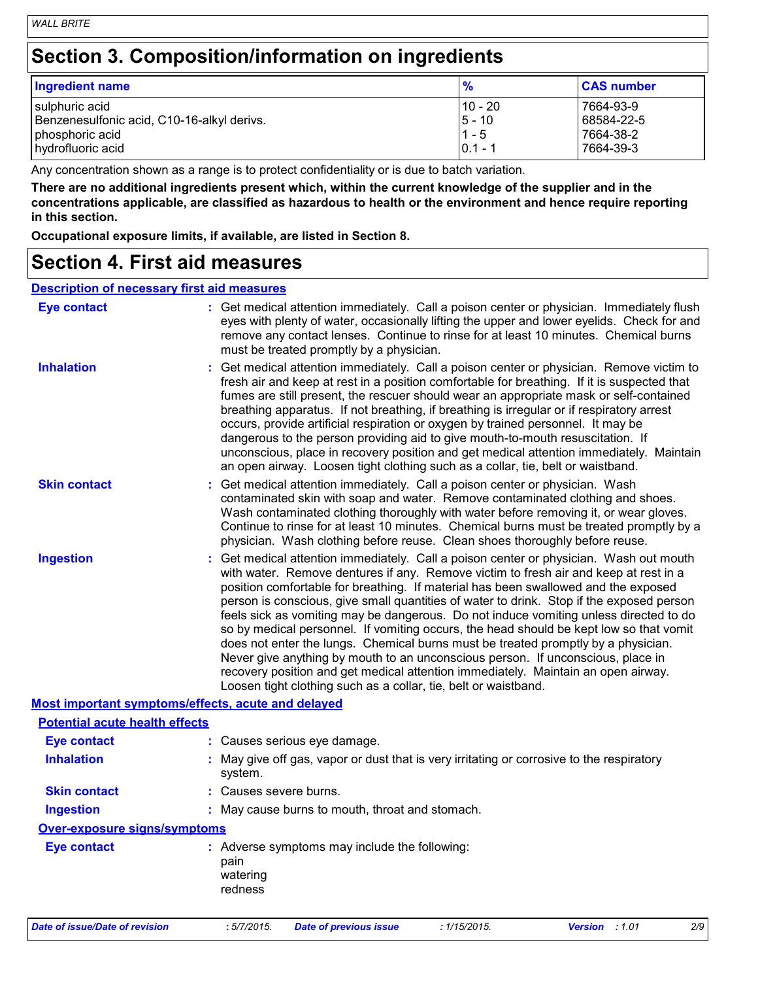# **Section 3. Composition/information on ingredients**

| <b>Ingredient name</b>                     | $\frac{9}{6}$ | <b>CAS number</b> |
|--------------------------------------------|---------------|-------------------|
| sulphuric acid                             | $110 - 20$    | 7664-93-9         |
| Benzenesulfonic acid, C10-16-alkyl derivs. | 15 - 10       | 68584-22-5        |
| phosphoric acid                            | $1 - 5$       | 7664-38-2         |
| hydrofluoric acid                          | $10.1 - 1$    | 7664-39-3         |

Any concentration shown as a range is to protect confidentiality or is due to batch variation.

**There are no additional ingredients present which, within the current knowledge of the supplier and in the concentrations applicable, are classified as hazardous to health or the environment and hence require reporting in this section.**

**Occupational exposure limits, if available, are listed in Section 8.**

### **Section 4. First aid measures**

#### **Description of necessary first aid measures**

| <b>Eye contact</b>                                 | : Get medical attention immediately. Call a poison center or physician. Immediately flush<br>eyes with plenty of water, occasionally lifting the upper and lower eyelids. Check for and<br>remove any contact lenses. Continue to rinse for at least 10 minutes. Chemical burns<br>must be treated promptly by a physician.                                                                                                                                                                                                                                                                                                                                                                                                                                                                                                                                                         |
|----------------------------------------------------|-------------------------------------------------------------------------------------------------------------------------------------------------------------------------------------------------------------------------------------------------------------------------------------------------------------------------------------------------------------------------------------------------------------------------------------------------------------------------------------------------------------------------------------------------------------------------------------------------------------------------------------------------------------------------------------------------------------------------------------------------------------------------------------------------------------------------------------------------------------------------------------|
| <b>Inhalation</b>                                  | : Get medical attention immediately. Call a poison center or physician. Remove victim to<br>fresh air and keep at rest in a position comfortable for breathing. If it is suspected that<br>fumes are still present, the rescuer should wear an appropriate mask or self-contained<br>breathing apparatus. If not breathing, if breathing is irregular or if respiratory arrest<br>occurs, provide artificial respiration or oxygen by trained personnel. It may be<br>dangerous to the person providing aid to give mouth-to-mouth resuscitation. If<br>unconscious, place in recovery position and get medical attention immediately. Maintain<br>an open airway. Loosen tight clothing such as a collar, tie, belt or waistband.                                                                                                                                                  |
| <b>Skin contact</b>                                | : Get medical attention immediately. Call a poison center or physician. Wash<br>contaminated skin with soap and water. Remove contaminated clothing and shoes.<br>Wash contaminated clothing thoroughly with water before removing it, or wear gloves.<br>Continue to rinse for at least 10 minutes. Chemical burns must be treated promptly by a<br>physician. Wash clothing before reuse. Clean shoes thoroughly before reuse.                                                                                                                                                                                                                                                                                                                                                                                                                                                    |
| <b>Ingestion</b>                                   | : Get medical attention immediately. Call a poison center or physician. Wash out mouth<br>with water. Remove dentures if any. Remove victim to fresh air and keep at rest in a<br>position comfortable for breathing. If material has been swallowed and the exposed<br>person is conscious, give small quantities of water to drink. Stop if the exposed person<br>feels sick as vomiting may be dangerous. Do not induce vomiting unless directed to do<br>so by medical personnel. If vomiting occurs, the head should be kept low so that vomit<br>does not enter the lungs. Chemical burns must be treated promptly by a physician.<br>Never give anything by mouth to an unconscious person. If unconscious, place in<br>recovery position and get medical attention immediately. Maintain an open airway.<br>Loosen tight clothing such as a collar, tie, belt or waistband. |
| Most important symptoms/effects, acute and delayed |                                                                                                                                                                                                                                                                                                                                                                                                                                                                                                                                                                                                                                                                                                                                                                                                                                                                                     |
| <b>Potential acute health effects</b>              |                                                                                                                                                                                                                                                                                                                                                                                                                                                                                                                                                                                                                                                                                                                                                                                                                                                                                     |
| <b>Eye contact</b>                                 | : Causes serious eye damage.                                                                                                                                                                                                                                                                                                                                                                                                                                                                                                                                                                                                                                                                                                                                                                                                                                                        |
| <b>Inhalation</b>                                  | : May give off gas, vapor or dust that is very irritating or corrosive to the respiratory<br>system.                                                                                                                                                                                                                                                                                                                                                                                                                                                                                                                                                                                                                                                                                                                                                                                |
| <b>Skin contact</b>                                | : Causes severe burns.                                                                                                                                                                                                                                                                                                                                                                                                                                                                                                                                                                                                                                                                                                                                                                                                                                                              |
| <b>Ingestion</b>                                   | : May cause burns to mouth, throat and stomach.                                                                                                                                                                                                                                                                                                                                                                                                                                                                                                                                                                                                                                                                                                                                                                                                                                     |
| <b>Over-exposure signs/symptoms</b>                |                                                                                                                                                                                                                                                                                                                                                                                                                                                                                                                                                                                                                                                                                                                                                                                                                                                                                     |
| <b>Eye contact</b>                                 | : Adverse symptoms may include the following:<br>pain<br>watering<br>redness                                                                                                                                                                                                                                                                                                                                                                                                                                                                                                                                                                                                                                                                                                                                                                                                        |
| Date of issue/Date of revision                     | :5/7/2015.<br><b>Date of previous issue</b><br>: 1/15/2015.<br><b>Version</b><br>:1.01<br>2/9                                                                                                                                                                                                                                                                                                                                                                                                                                                                                                                                                                                                                                                                                                                                                                                       |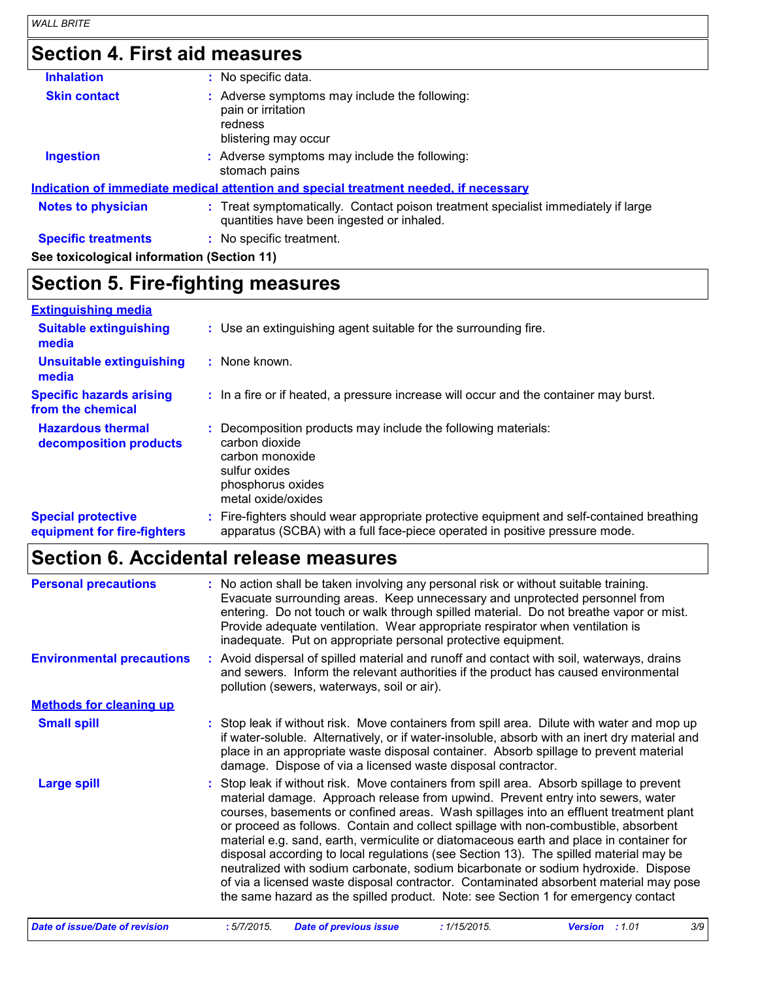# **Section 4. First aid measures**

| <b>Inhalation</b>                          | : No specific data.                                                                                                            |
|--------------------------------------------|--------------------------------------------------------------------------------------------------------------------------------|
| <b>Skin contact</b>                        | : Adverse symptoms may include the following:<br>pain or irritation<br>redness<br>blistering may occur                         |
| <b>Ingestion</b>                           | : Adverse symptoms may include the following:<br>stomach pains                                                                 |
|                                            | <u>Indication of immediate medical attention and special treatment needed, if necessary</u>                                    |
| <b>Notes to physician</b>                  | : Treat symptomatically. Contact poison treatment specialist immediately if large<br>quantities have been ingested or inhaled. |
| <b>Specific treatments</b>                 | : No specific treatment.                                                                                                       |
| See toxicological information (Section 11) |                                                                                                                                |

# **Section 5. Fire-fighting measures**

| <b>Extinguishing media</b>                               |                                                                                                                                                                          |
|----------------------------------------------------------|--------------------------------------------------------------------------------------------------------------------------------------------------------------------------|
| <b>Suitable extinguishing</b><br>media                   | : Use an extinguishing agent suitable for the surrounding fire.                                                                                                          |
| <b>Unsuitable extinguishing</b><br>media                 | : None known.                                                                                                                                                            |
| <b>Specific hazards arising</b><br>from the chemical     | : In a fire or if heated, a pressure increase will occur and the container may burst.                                                                                    |
| <b>Hazardous thermal</b><br>decomposition products       | Decomposition products may include the following materials:<br>carbon dioxide<br>carbon monoxide<br>sulfur oxides<br>phosphorus oxides<br>metal oxide/oxides             |
| <b>Special protective</b><br>equipment for fire-fighters | : Fire-fighters should wear appropriate protective equipment and self-contained breathing<br>apparatus (SCBA) with a full face-piece operated in positive pressure mode. |

# **Section 6. Accidental release measures**

| <b>Personal precautions</b>           | : No action shall be taken involving any personal risk or without suitable training.<br>Evacuate surrounding areas. Keep unnecessary and unprotected personnel from<br>entering. Do not touch or walk through spilled material. Do not breathe vapor or mist.<br>Provide adequate ventilation. Wear appropriate respirator when ventilation is<br>inadequate. Put on appropriate personal protective equipment.                                                                                                                                                                                                                                                                                                                                                                                                   |  |  |
|---------------------------------------|-------------------------------------------------------------------------------------------------------------------------------------------------------------------------------------------------------------------------------------------------------------------------------------------------------------------------------------------------------------------------------------------------------------------------------------------------------------------------------------------------------------------------------------------------------------------------------------------------------------------------------------------------------------------------------------------------------------------------------------------------------------------------------------------------------------------|--|--|
| <b>Environmental precautions</b>      | : Avoid dispersal of spilled material and runoff and contact with soil, waterways, drains<br>and sewers. Inform the relevant authorities if the product has caused environmental<br>pollution (sewers, waterways, soil or air).                                                                                                                                                                                                                                                                                                                                                                                                                                                                                                                                                                                   |  |  |
| <b>Methods for cleaning up</b>        |                                                                                                                                                                                                                                                                                                                                                                                                                                                                                                                                                                                                                                                                                                                                                                                                                   |  |  |
| <b>Small spill</b>                    | : Stop leak if without risk. Move containers from spill area. Dilute with water and mop up<br>if water-soluble. Alternatively, or if water-insoluble, absorb with an inert dry material and<br>place in an appropriate waste disposal container. Absorb spillage to prevent material<br>damage. Dispose of via a licensed waste disposal contractor.                                                                                                                                                                                                                                                                                                                                                                                                                                                              |  |  |
| <b>Large spill</b>                    | Stop leak if without risk. Move containers from spill area. Absorb spillage to prevent<br>material damage. Approach release from upwind. Prevent entry into sewers, water<br>courses, basements or confined areas. Wash spillages into an effluent treatment plant<br>or proceed as follows. Contain and collect spillage with non-combustible, absorbent<br>material e.g. sand, earth, vermiculite or diatomaceous earth and place in container for<br>disposal according to local regulations (see Section 13). The spilled material may be<br>neutralized with sodium carbonate, sodium bicarbonate or sodium hydroxide. Dispose<br>of via a licensed waste disposal contractor. Contaminated absorbent material may pose<br>the same hazard as the spilled product. Note: see Section 1 for emergency contact |  |  |
| <b>Date of issue/Date of revision</b> | 3/9<br>:5/7/2015.<br><b>Date of previous issue</b><br>: 1/15/2015.<br><b>Version</b> : 1.01                                                                                                                                                                                                                                                                                                                                                                                                                                                                                                                                                                                                                                                                                                                       |  |  |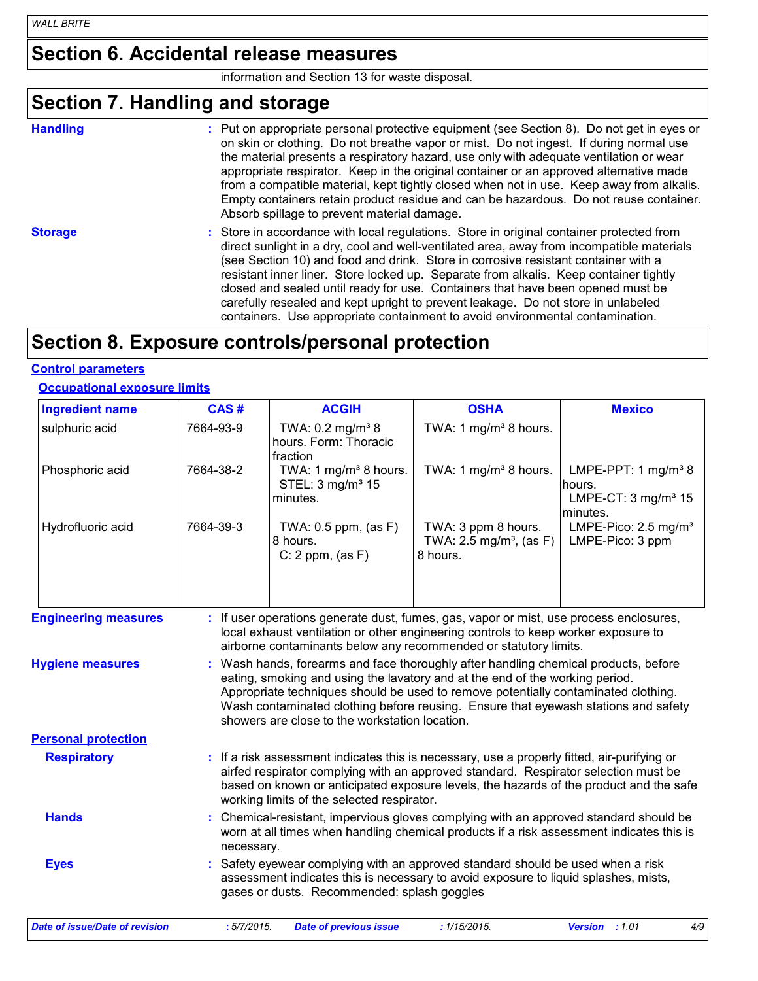### **Section 6. Accidental release measures**

information and Section 13 for waste disposal.

# **Section 7. Handling and storage**

|  |  |  | ш<br>ı |
|--|--|--|--------|

**Handling** entries a metal on appropriate personal protective equipment (see Section 8). Do not get in eyes or and the section 8). By not get in eyes or on skin or clothing. Do not breathe vapor or mist. Do not ingest. If during normal use the material presents a respiratory hazard, use only with adequate ventilation or wear appropriate respirator. Keep in the original container or an approved alternative made from a compatible material, kept tightly closed when not in use. Keep away from alkalis. Empty containers retain product residue and can be hazardous. Do not reuse container. Absorb spillage to prevent material damage.

**Storage** Store in accordance with local regulations. Store in original container protected from direct sunlight in a dry, cool and well-ventilated area, away from incompatible materials (see Section 10) and food and drink. Store in corrosive resistant container with a resistant inner liner. Store locked up. Separate from alkalis. Keep container tightly closed and sealed until ready for use. Containers that have been opened must be carefully resealed and kept upright to prevent leakage. Do not store in unlabeled containers. Use appropriate containment to avoid environmental contamination.

# **Section 8. Exposure controls/personal protection**

#### **Control parameters**

#### **Occupational exposure limits**

| <b>Ingredient name</b>                | CAS#        | <b>ACGIH</b>                                                                  | <b>OSHA</b>                                                                                                                                                                                                                                                                                                                                     | <b>Mexico</b>                                                                  |
|---------------------------------------|-------------|-------------------------------------------------------------------------------|-------------------------------------------------------------------------------------------------------------------------------------------------------------------------------------------------------------------------------------------------------------------------------------------------------------------------------------------------|--------------------------------------------------------------------------------|
| sulphuric acid                        | 7664-93-9   | TWA: 0.2 mg/m <sup>3</sup> 8<br>hours. Form: Thoracic<br>fraction             | TWA: 1 mg/m <sup>3</sup> 8 hours.                                                                                                                                                                                                                                                                                                               |                                                                                |
| Phosphoric acid                       | 7664-38-2   | TWA: 1 mg/m <sup>3</sup> 8 hours.<br>STEL: 3 mg/m <sup>3</sup> 15<br>minutes. | TWA: 1 mg/m <sup>3</sup> 8 hours.                                                                                                                                                                                                                                                                                                               | LMPE-PPT: 1 $mg/m^3$ 8<br>hours.<br>LMPE-CT: $3 \text{ mg/m}^3$ 15<br>minutes. |
| Hydrofluoric acid                     | 7664-39-3   | TWA: $0.5$ ppm, (as F)<br>8 hours.<br>$C: 2$ ppm, $(as F)$                    | TWA: 3 ppm 8 hours.<br>TWA: $2.5$ mg/m <sup>3</sup> , (as F)<br>8 hours.                                                                                                                                                                                                                                                                        | LMPE-Pico: 2.5 mg/m <sup>3</sup><br>LMPE-Pico: 3 ppm                           |
| <b>Engineering measures</b>           |             |                                                                               | : If user operations generate dust, fumes, gas, vapor or mist, use process enclosures,<br>local exhaust ventilation or other engineering controls to keep worker exposure to<br>airborne contaminants below any recommended or statutory limits.                                                                                                |                                                                                |
| <b>Hygiene measures</b>               |             | showers are close to the workstation location.                                | : Wash hands, forearms and face thoroughly after handling chemical products, before<br>eating, smoking and using the lavatory and at the end of the working period.<br>Appropriate techniques should be used to remove potentially contaminated clothing.<br>Wash contaminated clothing before reusing. Ensure that eyewash stations and safety |                                                                                |
| <b>Personal protection</b>            |             |                                                                               |                                                                                                                                                                                                                                                                                                                                                 |                                                                                |
| <b>Respiratory</b>                    |             | working limits of the selected respirator.                                    | : If a risk assessment indicates this is necessary, use a properly fitted, air-purifying or<br>airfed respirator complying with an approved standard. Respirator selection must be<br>based on known or anticipated exposure levels, the hazards of the product and the safe                                                                    |                                                                                |
| <b>Hands</b>                          | necessary.  |                                                                               | Chemical-resistant, impervious gloves complying with an approved standard should be<br>worn at all times when handling chemical products if a risk assessment indicates this is                                                                                                                                                                 |                                                                                |
| <b>Eyes</b>                           |             | gases or dusts. Recommended: splash goggles                                   | : Safety eyewear complying with an approved standard should be used when a risk<br>assessment indicates this is necessary to avoid exposure to liquid splashes, mists,                                                                                                                                                                          |                                                                                |
| <b>Date of issue/Date of revision</b> | : 5/7/2015. | <b>Date of previous issue</b>                                                 | : 1/15/2015.                                                                                                                                                                                                                                                                                                                                    | <b>Version</b><br>:1.01<br>4/9                                                 |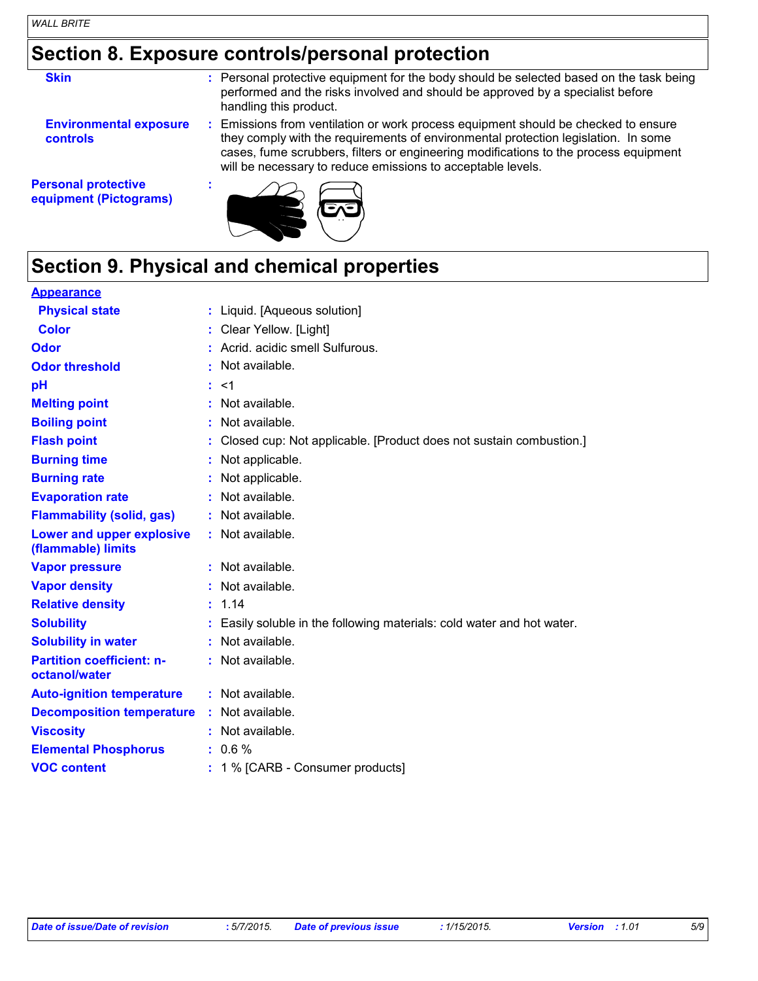# **Section 8. Exposure controls/personal protection**

| <b>Skin</b>                                          | : Personal protective equipment for the body should be selected based on the task being<br>performed and the risks involved and should be approved by a specialist before<br>handling this product.                                                                                                                             |
|------------------------------------------------------|---------------------------------------------------------------------------------------------------------------------------------------------------------------------------------------------------------------------------------------------------------------------------------------------------------------------------------|
| <b>Environmental exposure</b><br><b>controls</b>     | : Emissions from ventilation or work process equipment should be checked to ensure<br>they comply with the requirements of environmental protection legislation. In some<br>cases, fume scrubbers, filters or engineering modifications to the process equipment<br>will be necessary to reduce emissions to acceptable levels. |
| <b>Personal protective</b><br>equipment (Pictograms) |                                                                                                                                                                                                                                                                                                                                 |

# **Section 9. Physical and chemical properties**

| <b>Appearance</b>                                 |                                                                      |
|---------------------------------------------------|----------------------------------------------------------------------|
| <b>Physical state</b>                             | : Liquid. [Aqueous solution]                                         |
| <b>Color</b>                                      | Clear Yellow. [Light]                                                |
| Odor                                              | Acrid. acidic smell Sulfurous.                                       |
| <b>Odor threshold</b>                             | Not available.                                                       |
| pH                                                | : 1                                                                  |
| <b>Melting point</b>                              | Not available.                                                       |
| <b>Boiling point</b>                              | Not available.                                                       |
| <b>Flash point</b>                                | Closed cup: Not applicable. [Product does not sustain combustion.]   |
| <b>Burning time</b>                               | Not applicable.                                                      |
| <b>Burning rate</b>                               | Not applicable.                                                      |
| <b>Evaporation rate</b>                           | Not available.                                                       |
| <b>Flammability (solid, gas)</b>                  | Not available.                                                       |
| Lower and upper explosive<br>(flammable) limits   | Not available.                                                       |
| <b>Vapor pressure</b>                             | : Not available.                                                     |
| <b>Vapor density</b>                              | Not available.                                                       |
| <b>Relative density</b>                           | : 1.14                                                               |
| <b>Solubility</b>                                 | Easily soluble in the following materials: cold water and hot water. |
| <b>Solubility in water</b>                        | Not available.                                                       |
| <b>Partition coefficient: n-</b><br>octanol/water | Not available.                                                       |
| <b>Auto-ignition temperature</b>                  | : Not available.                                                     |
| <b>Decomposition temperature</b>                  | Not available.                                                       |
| <b>Viscosity</b>                                  | Not available.                                                       |
| <b>Elemental Phosphorus</b>                       | 0.6%                                                                 |
| <b>VOC content</b>                                | 1 % [CARB - Consumer products]                                       |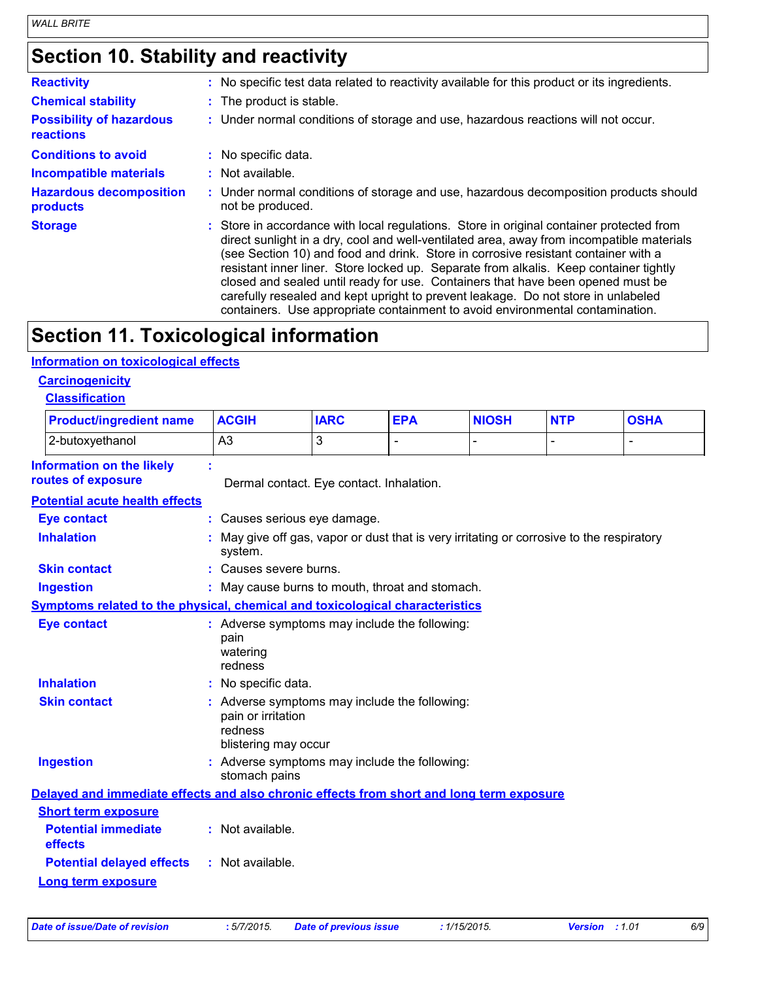# **Section 10. Stability and reactivity**

| <b>Reactivity</b>                                   | : No specific test data related to reactivity available for this product or its ingredients.                                                                                                                                                                                                                                                                                                                                                                                                                                                                                                                                  |
|-----------------------------------------------------|-------------------------------------------------------------------------------------------------------------------------------------------------------------------------------------------------------------------------------------------------------------------------------------------------------------------------------------------------------------------------------------------------------------------------------------------------------------------------------------------------------------------------------------------------------------------------------------------------------------------------------|
| <b>Chemical stability</b>                           | : The product is stable.                                                                                                                                                                                                                                                                                                                                                                                                                                                                                                                                                                                                      |
| <b>Possibility of hazardous</b><br><b>reactions</b> | : Under normal conditions of storage and use, hazardous reactions will not occur.                                                                                                                                                                                                                                                                                                                                                                                                                                                                                                                                             |
| <b>Conditions to avoid</b>                          | : No specific data.                                                                                                                                                                                                                                                                                                                                                                                                                                                                                                                                                                                                           |
| <b>Incompatible materials</b>                       | : Not available.                                                                                                                                                                                                                                                                                                                                                                                                                                                                                                                                                                                                              |
| <b>Hazardous decomposition</b><br>products          | : Under normal conditions of storage and use, hazardous decomposition products should<br>not be produced.                                                                                                                                                                                                                                                                                                                                                                                                                                                                                                                     |
| <b>Storage</b>                                      | : Store in accordance with local regulations. Store in original container protected from<br>direct sunlight in a dry, cool and well-ventilated area, away from incompatible materials<br>(see Section 10) and food and drink. Store in corrosive resistant container with a<br>resistant inner liner. Store locked up. Separate from alkalis. Keep container tightly<br>closed and sealed until ready for use. Containers that have been opened must be<br>carefully resealed and kept upright to prevent leakage. Do not store in unlabeled<br>containers. Use appropriate containment to avoid environmental contamination. |

# **Section 11. Toxicological information**

### **Information on toxicological effects**

### **Carcinogenicity**

| <b>Classification</b> |
|-----------------------|
|-----------------------|

| <b>Product/ingredient name</b>                                                           | <b>ACGIH</b>                                                                                           | <b>IARC</b>                                                                             | <b>EPA</b> | <b>NIOSH</b> | <b>NTP</b>     | <b>OSHA</b>    |
|------------------------------------------------------------------------------------------|--------------------------------------------------------------------------------------------------------|-----------------------------------------------------------------------------------------|------------|--------------|----------------|----------------|
| 2-butoxyethanol                                                                          | A <sub>3</sub>                                                                                         | 3                                                                                       | L,         |              | $\overline{a}$ | $\blacksquare$ |
| <b>Information on the likely</b><br>routes of exposure                                   |                                                                                                        | Dermal contact. Eye contact. Inhalation.                                                |            |              |                |                |
| <b>Potential acute health effects</b>                                                    |                                                                                                        |                                                                                         |            |              |                |                |
| <b>Eye contact</b>                                                                       |                                                                                                        | : Causes serious eye damage.                                                            |            |              |                |                |
| <b>Inhalation</b>                                                                        | system.                                                                                                | May give off gas, vapor or dust that is very irritating or corrosive to the respiratory |            |              |                |                |
| <b>Skin contact</b>                                                                      | : Causes severe burns.                                                                                 |                                                                                         |            |              |                |                |
| Ingestion                                                                                |                                                                                                        | : May cause burns to mouth, throat and stomach.                                         |            |              |                |                |
| Symptoms related to the physical, chemical and toxicological characteristics             |                                                                                                        |                                                                                         |            |              |                |                |
| <b>Eye contact</b>                                                                       | pain<br>watering<br>redness                                                                            | : Adverse symptoms may include the following:                                           |            |              |                |                |
| <b>Inhalation</b>                                                                        | : No specific data.                                                                                    |                                                                                         |            |              |                |                |
| <b>Skin contact</b>                                                                      | : Adverse symptoms may include the following:<br>pain or irritation<br>redness<br>blistering may occur |                                                                                         |            |              |                |                |
| <b>Ingestion</b>                                                                         | : Adverse symptoms may include the following:<br>stomach pains                                         |                                                                                         |            |              |                |                |
| Delayed and immediate effects and also chronic effects from short and long term exposure |                                                                                                        |                                                                                         |            |              |                |                |
| <b>Short term exposure</b>                                                               |                                                                                                        |                                                                                         |            |              |                |                |
| <b>Potential immediate</b><br>effects                                                    | : Not available.                                                                                       |                                                                                         |            |              |                |                |
| <b>Potential delayed effects</b>                                                         | : Not available.                                                                                       |                                                                                         |            |              |                |                |
| <b>Long term exposure</b>                                                                |                                                                                                        |                                                                                         |            |              |                |                |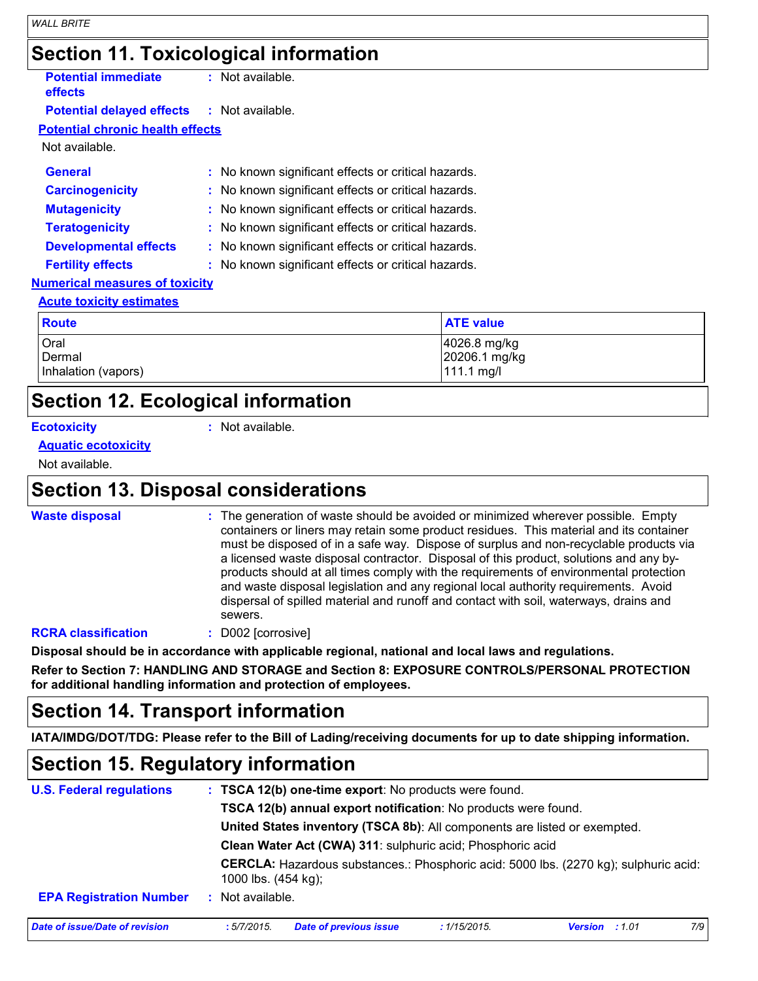| <b>Section 11. Toxicological information</b>      |                                                     |  |
|---------------------------------------------------|-----------------------------------------------------|--|
| <b>Potential immediate</b><br>effects             | : Not available.                                    |  |
| <b>Potential delayed effects : Not available.</b> |                                                     |  |
| <b>Potential chronic health effects</b>           |                                                     |  |
| Not available.                                    |                                                     |  |
| <b>General</b>                                    | : No known significant effects or critical hazards. |  |
| <b>Carcinogenicity</b>                            | : No known significant effects or critical hazards. |  |
| <b>Mutagenicity</b>                               | : No known significant effects or critical hazards. |  |
| <b>Teratogenicity</b>                             | : No known significant effects or critical hazards. |  |
| <b>Developmental effects</b>                      | : No known significant effects or critical hazards. |  |
| <b>Fertility effects</b>                          | : No known significant effects or critical hazards. |  |
| Numerical measures of texteins                    |                                                     |  |

#### **Numerical measures of toxicity**

#### **Acute toxicity estimates**

| <b>Route</b>        | <b>ATE value</b> |
|---------------------|------------------|
| Oral                | 4026.8 mg/kg     |
| Dermal              | 20206.1 mg/kg    |
| Inhalation (vapors) | $111.1$ mg/l     |

### **Section 12. Ecological information**

**Ecotoxicity :**

: Not available.

Not available. **Aquatic ecotoxicity**

### **Section 13. Disposal considerations**

| <b>Waste disposal</b> |
|-----------------------|
|                       |

**Waste disposal The generation of waste should be avoided or minimized wherever possible. Empty and the system of more continuity of the system of the system of the system of the system of the system of the system of the s** containers or liners may retain some product residues. This material and its container must be disposed of in a safe way. Dispose of surplus and non-recyclable products via a licensed waste disposal contractor. Disposal of this product, solutions and any byproducts should at all times comply with the requirements of environmental protection and waste disposal legislation and any regional local authority requirements. Avoid dispersal of spilled material and runoff and contact with soil, waterways, drains and sewers.

#### **RCRA classification :** D002 [corrosive]

**Disposal should be in accordance with applicable regional, national and local laws and regulations.**

**Refer to Section 7: HANDLING AND STORAGE and Section 8: EXPOSURE CONTROLS/PERSONAL PROTECTION for additional handling information and protection of employees.**

## **Section 14. Transport information**

**IATA/IMDG/DOT/TDG: Please refer to the Bill of Lading/receiving documents for up to date shipping information.**

# **Section 15. Regulatory information**

| <b>U.S. Federal regulations</b>       |                      | : TSCA 12(b) one-time export: No products were found.                     |             |                                                                                      |     |  |  |  |  |
|---------------------------------------|----------------------|---------------------------------------------------------------------------|-------------|--------------------------------------------------------------------------------------|-----|--|--|--|--|
|                                       |                      | TSCA 12(b) annual export notification: No products were found.            |             |                                                                                      |     |  |  |  |  |
|                                       |                      | United States inventory (TSCA 8b): All components are listed or exempted. |             |                                                                                      |     |  |  |  |  |
|                                       |                      | Clean Water Act (CWA) 311: sulphuric acid; Phosphoric acid                |             |                                                                                      |     |  |  |  |  |
|                                       | 1000 lbs. (454 kg);  |                                                                           |             | CERCLA: Hazardous substances.: Phosphoric acid: 5000 lbs. (2270 kg); sulphuric acid: |     |  |  |  |  |
| <b>EPA Registration Number</b>        | Not available.<br>÷. |                                                                           |             |                                                                                      |     |  |  |  |  |
| <b>Date of issue/Date of revision</b> | :5/7/2015            | <b>Date of previous issue</b>                                             | :1/15/2015. | <b>Version</b> : 1.01                                                                | 7/9 |  |  |  |  |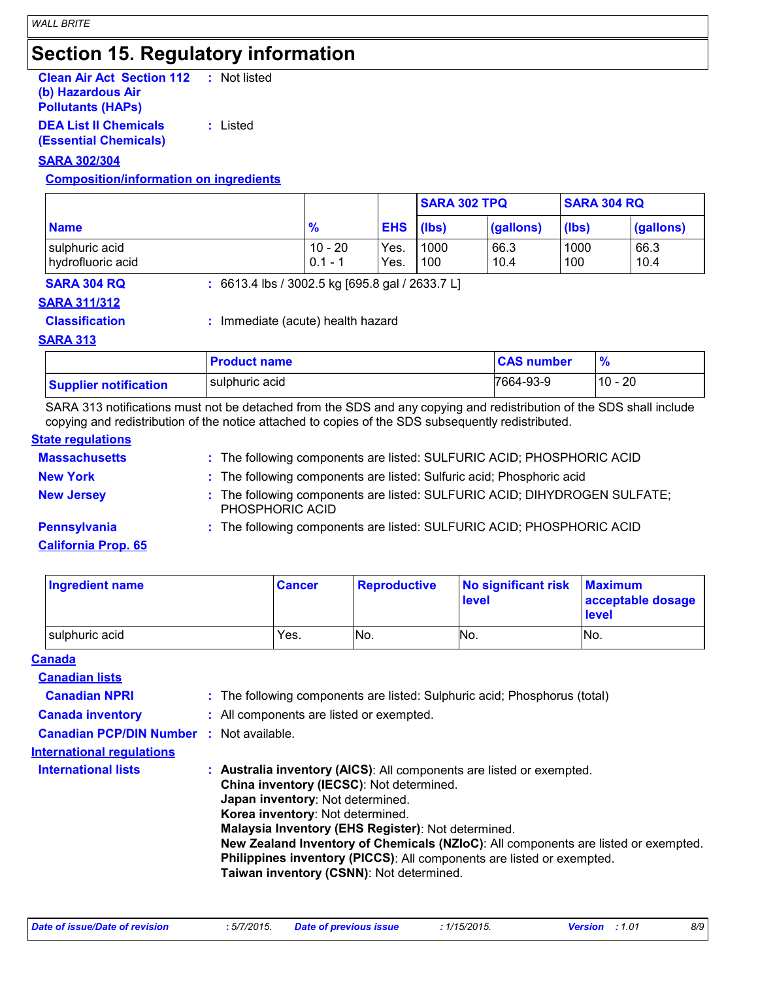# **Section 15. Regulatory information**

| <b>Clean Air Act Section 112</b> | : Not listed |
|----------------------------------|--------------|
| (b) Hazardous Air                |              |
| <b>Pollutants (HAPS)</b>         |              |
| <b>DEA List II Chemicals</b>     | : Listed     |

**(Essential Chemicals)**

#### **SARA 302/304**

#### **Composition/information on ingredients**

|                                     |                        |              | <b>SARA 302 TPQ</b> |              | <b>SARA 304 RQ</b> |              |
|-------------------------------------|------------------------|--------------|---------------------|--------------|--------------------|--------------|
| <b>Name</b>                         | 70                     | <b>EHS</b>   | (lbs)               | (gallons)    | (lbs)              | (gallons)    |
| sulphuric acid<br>hydrofluoric acid | $10 - 20$<br>$0.1 - 1$ | Yes.<br>Yes. | 1000<br>100         | 66.3<br>10.4 | 1000<br>100        | 66.3<br>10.4 |

**SARA 304 RQ :** 6613.4 lbs / 3002.5 kg [695.8 gal / 2633.7 L]

**SARA 311/312**

**Classification :** Immediate (acute) health hazard

#### **SARA 313**

|                              | <b>Product name</b> | <b>CAS number</b> |           |
|------------------------------|---------------------|-------------------|-----------|
| <b>Supplier notification</b> | sulphuric acid      | 7664-93-9         | $10 - 20$ |

SARA 313 notifications must not be detached from the SDS and any copying and redistribution of the SDS shall include copying and redistribution of the notice attached to copies of the SDS subsequently redistributed.

#### **State regulations**

| <b>Massachusetts</b>       | : The following components are listed: SULFURIC ACID; PHOSPHORIC ACID                        |
|----------------------------|----------------------------------------------------------------------------------------------|
| <b>New York</b>            | : The following components are listed: Sulfuric acid; Phosphoric acid                        |
| <b>New Jersey</b>          | : The following components are listed: SULFURIC ACID; DIHYDROGEN SULFATE;<br>PHOSPHORIC ACID |
| Pennsylvania               | : The following components are listed: SULFURIC ACID; PHOSPHORIC ACID                        |
| <b>California Prop. 65</b> |                                                                                              |

| Ingredient name | <b>Cancer</b> | <b>Reproductive</b> | No significant risk<br>level | <b>Maximum</b><br>acceptable dosage<br><b>level</b> |
|-----------------|---------------|---------------------|------------------------------|-----------------------------------------------------|
| sulphuric acid  | Yes.          | No.                 | INo.                         | IN <sub>o</sub>                                     |

|--|

| <b>Canadian lists</b>                           |                                                                                                                                                                                                                                                                                                                                                                                                                                                           |
|-------------------------------------------------|-----------------------------------------------------------------------------------------------------------------------------------------------------------------------------------------------------------------------------------------------------------------------------------------------------------------------------------------------------------------------------------------------------------------------------------------------------------|
| <b>Canadian NPRI</b>                            | : The following components are listed: Sulphuric acid; Phosphorus (total)                                                                                                                                                                                                                                                                                                                                                                                 |
| <b>Canada inventory</b>                         | : All components are listed or exempted.                                                                                                                                                                                                                                                                                                                                                                                                                  |
| <b>Canadian PCP/DIN Number : Not available.</b> |                                                                                                                                                                                                                                                                                                                                                                                                                                                           |
| <b>International requlations</b>                |                                                                                                                                                                                                                                                                                                                                                                                                                                                           |
| <b>International lists</b>                      | : Australia inventory (AICS): All components are listed or exempted.<br>China inventory (IECSC): Not determined.<br>Japan inventory: Not determined.<br>Korea inventory: Not determined.<br>Malaysia Inventory (EHS Register): Not determined.<br>New Zealand Inventory of Chemicals (NZIoC): All components are listed or exempted.<br>Philippines inventory (PICCS): All components are listed or exempted.<br>Taiwan inventory (CSNN): Not determined. |